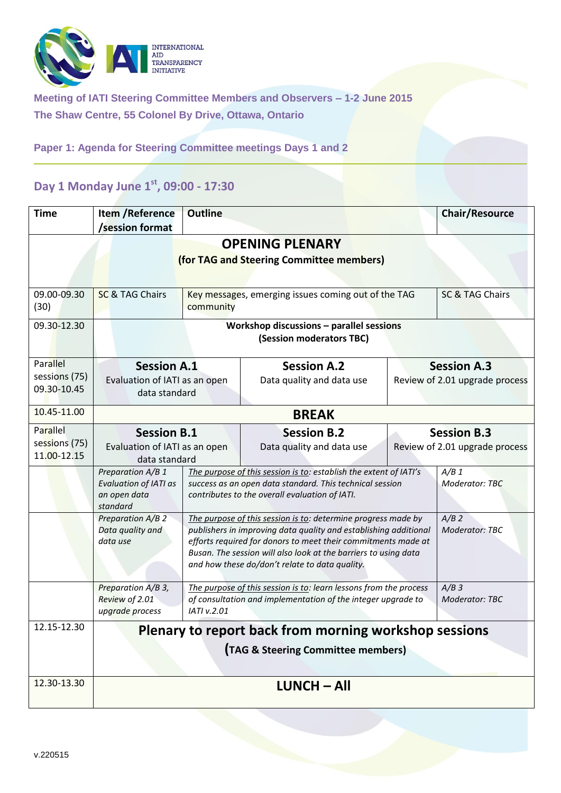

**Meeting of IATI Steering Committee Members and Observers – 1-2 June 2015 The Shaw Centre, 55 Colonel By Drive, Ottawa, Ontario**

## **Paper 1: Agenda for Steering Committee meetings Days 1 and 2**

## **Day 1 Monday June 1st , 09:00 - 17:30**

| <b>Time</b>                                                        | Item / Reference<br>/session format                                                                | <b>Outline</b>                                                                                                                                                                                                                                                                                                                                       |                                                                                                                                   |                                                      | <b>Chair/Resource</b>         |  |  |  |
|--------------------------------------------------------------------|----------------------------------------------------------------------------------------------------|------------------------------------------------------------------------------------------------------------------------------------------------------------------------------------------------------------------------------------------------------------------------------------------------------------------------------------------------------|-----------------------------------------------------------------------------------------------------------------------------------|------------------------------------------------------|-------------------------------|--|--|--|
| <b>OPENING PLENARY</b><br>(for TAG and Steering Committee members) |                                                                                                    |                                                                                                                                                                                                                                                                                                                                                      |                                                                                                                                   |                                                      |                               |  |  |  |
| 09.00-09.30<br>(30)                                                | <b>SC &amp; TAG Chairs</b>                                                                         | community                                                                                                                                                                                                                                                                                                                                            | Key messages, emerging issues coming out of the TAG                                                                               |                                                      | SC & TAG Chairs               |  |  |  |
| 09.30-12.30                                                        | Workshop discussions - parallel sessions<br>(Session moderators TBC)                               |                                                                                                                                                                                                                                                                                                                                                      |                                                                                                                                   |                                                      |                               |  |  |  |
| Parallel<br>sessions (75)<br>09.30-10.45                           | <b>Session A.1</b><br>Evaluation of IATI as an open<br>data standard                               |                                                                                                                                                                                                                                                                                                                                                      | <b>Session A.2</b><br>Data quality and data use                                                                                   | <b>Session A.3</b><br>Review of 2.01 upgrade process |                               |  |  |  |
| 10.45-11.00                                                        | <b>BREAK</b>                                                                                       |                                                                                                                                                                                                                                                                                                                                                      |                                                                                                                                   |                                                      |                               |  |  |  |
| Parallel<br>sessions (75)<br>11.00-12.15                           | <b>Session B.1</b><br>Evaluation of IATI as an open<br>data standard                               |                                                                                                                                                                                                                                                                                                                                                      | <b>Session B.2</b><br>Data quality and data use                                                                                   | <b>Session B.3</b><br>Review of 2.01 upgrade process |                               |  |  |  |
|                                                                    | Preparation A/B 1<br><b>Evaluation of IATI as</b><br>an open data<br>standard                      | The purpose of this session is to: establish the extent of IATI's<br>success as an open data standard. This technical session<br>contributes to the overall evaluation of IATI.                                                                                                                                                                      |                                                                                                                                   |                                                      | A/B1<br><b>Moderator: TBC</b> |  |  |  |
|                                                                    | Preparation A/B 2<br>Data quality and<br>data use                                                  | $A/B$ 2<br>The purpose of this session is to: determine progress made by<br>publishers in improving data quality and establishing additional<br>Moderator: TBC<br>efforts required for donors to meet their commitments made at<br>Busan. The session will also look at the barriers to using data<br>and how these do/don't relate to data quality. |                                                                                                                                   |                                                      |                               |  |  |  |
|                                                                    | Preparation A/B 3,<br>Review of 2.01<br>upgrade process                                            | IATI v.2.01                                                                                                                                                                                                                                                                                                                                          | The purpose of this session is to: learn lessons from the process<br>of consultation and implementation of the integer upgrade to |                                                      | A/B3<br>Moderator: TBC        |  |  |  |
| 12.15-12.30                                                        | <b>Plenary to report back from morning workshop sessions</b><br>(TAG & Steering Committee members) |                                                                                                                                                                                                                                                                                                                                                      |                                                                                                                                   |                                                      |                               |  |  |  |
| 12.30-13.30                                                        |                                                                                                    |                                                                                                                                                                                                                                                                                                                                                      | <b>LUNCH - All</b>                                                                                                                |                                                      |                               |  |  |  |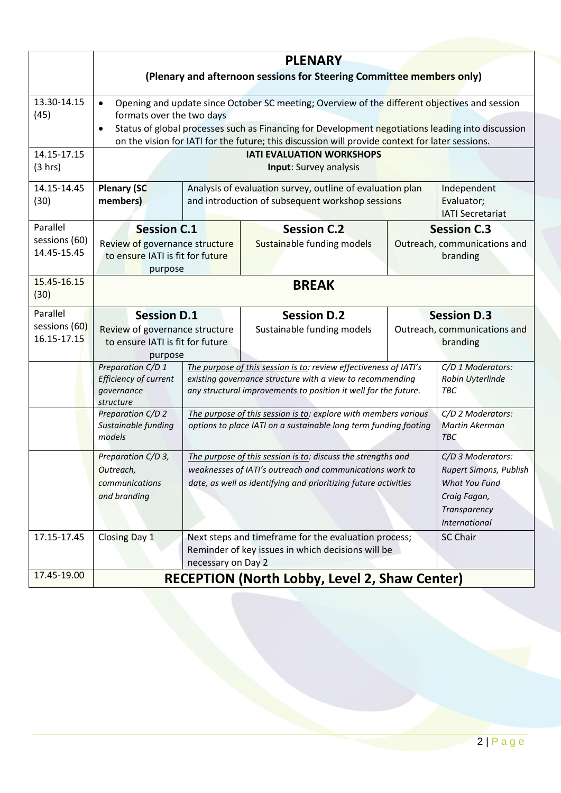|                                          | <b>PLENARY</b><br>(Plenary and afternoon sessions for Steering Committee members only)                                                                                                                                                                                                                                                                       |                                                                                                                                                                                                          |                                                                                                                                                                                                                                                                                                                     |                                                                |                                                                |  |  |
|------------------------------------------|--------------------------------------------------------------------------------------------------------------------------------------------------------------------------------------------------------------------------------------------------------------------------------------------------------------------------------------------------------------|----------------------------------------------------------------------------------------------------------------------------------------------------------------------------------------------------------|---------------------------------------------------------------------------------------------------------------------------------------------------------------------------------------------------------------------------------------------------------------------------------------------------------------------|----------------------------------------------------------------|----------------------------------------------------------------|--|--|
| 13.30-14.15<br>(45)                      | Opening and update since October SC meeting; Overview of the different objectives and session<br>$\bullet$<br>formats over the two days<br>Status of global processes such as Financing for Development negotiations leading into discussion<br>$\bullet$<br>on the vision for IATI for the future; this discussion will provide context for later sessions. |                                                                                                                                                                                                          |                                                                                                                                                                                                                                                                                                                     |                                                                |                                                                |  |  |
| 14.15-17.15<br>(3 hrs)                   | <b>IATI EVALUATION WORKSHOPS</b><br>Input: Survey analysis                                                                                                                                                                                                                                                                                                   |                                                                                                                                                                                                          |                                                                                                                                                                                                                                                                                                                     |                                                                |                                                                |  |  |
| 14.15-14.45<br>(30)                      | <b>Plenary (SC</b><br>members)                                                                                                                                                                                                                                                                                                                               |                                                                                                                                                                                                          | Analysis of evaluation survey, outline of evaluation plan<br>and introduction of subsequent workshop sessions                                                                                                                                                                                                       |                                                                | Independent<br>Evaluator;<br><b>IATI Secretariat</b>           |  |  |
| Parallel<br>sessions (60)<br>14.45-15.45 | <b>Session C.1</b><br>Review of governance structure<br>to ensure IATI is fit for future<br>purpose                                                                                                                                                                                                                                                          |                                                                                                                                                                                                          | <b>Session C.2</b><br>Sustainable funding models                                                                                                                                                                                                                                                                    |                                                                | <b>Session C.3</b><br>Outreach, communications and<br>branding |  |  |
| 15.45-16.15<br>(30)                      | <b>BREAK</b>                                                                                                                                                                                                                                                                                                                                                 |                                                                                                                                                                                                          |                                                                                                                                                                                                                                                                                                                     |                                                                |                                                                |  |  |
| Parallel<br>sessions (60)<br>16.15-17.15 | <b>Session D.1</b><br>Review of governance structure<br>to ensure IATI is fit for future<br>purpose                                                                                                                                                                                                                                                          |                                                                                                                                                                                                          | <b>Session D.2</b><br>Sustainable funding models                                                                                                                                                                                                                                                                    | <b>Session D.3</b><br>Outreach, communications and<br>branding |                                                                |  |  |
|                                          | Preparation C/D 1<br>Efficiency of current<br>governance<br>structure                                                                                                                                                                                                                                                                                        | The purpose of this session is to: review effectiveness of IATI's<br>existing governance structure with a view to recommending<br>any structural improvements to position it well for the future.<br>TBC |                                                                                                                                                                                                                                                                                                                     | C/D 1 Moderators:<br>Robin Uyterlinde                          |                                                                |  |  |
|                                          | Preparation C/D 2<br>Sustainable funding<br>models                                                                                                                                                                                                                                                                                                           |                                                                                                                                                                                                          | The purpose of this session is to: explore with members various<br>options to place IATI on a sustainable long term funding footing                                                                                                                                                                                 |                                                                | C/D 2 Moderators:<br>Martin Akerman<br><b>TBC</b>              |  |  |
|                                          | Preparation C/D 3,<br>Outreach,<br>communications<br>and branding                                                                                                                                                                                                                                                                                            |                                                                                                                                                                                                          | The purpose of this session is to: discuss the strengths and<br>C/D 3 Moderators:<br>weaknesses of IATI's outreach and communications work to<br>Rupert Simons, Publish<br>date, as well as identifying and prioritizing future activities<br>What You Fund<br>Craig Fagan,<br>Transparency<br><b>International</b> |                                                                |                                                                |  |  |
| 17.15-17.45                              | <b>Closing Day 1</b><br>Next steps and timeframe for the evaluation process;<br><b>SC Chair</b><br>Reminder of key issues in which decisions will be<br>necessary on Day 2                                                                                                                                                                                   |                                                                                                                                                                                                          |                                                                                                                                                                                                                                                                                                                     |                                                                |                                                                |  |  |
| 17.45-19.00                              | <b>RECEPTION (North Lobby, Level 2, Shaw Center)</b>                                                                                                                                                                                                                                                                                                         |                                                                                                                                                                                                          |                                                                                                                                                                                                                                                                                                                     |                                                                |                                                                |  |  |